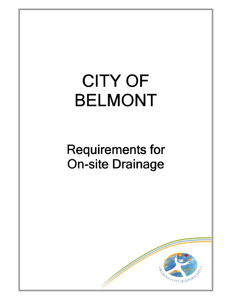# **CITY OF BELMONT**

## **Requirements for On-site Drainage**

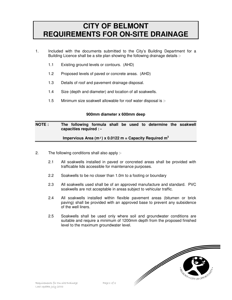### **CITY OF BELMONT REQUIREMENTS FOR ON-SITE DRAINAGE**

- 1. Included with the documents submitted to the City's Building Department for a Building Licence shall be a site plan showing the following drainage details :-
	- 1.1 Existing ground levels or contours. (AHD)
	- 1.2 Proposed levels of paved or concrete areas. (AHD)
	- 1.3 Details of roof and pavement drainage disposal.
	- 1.4 Size (depth and diameter) and location of all soakwells.
	- 1.5 Minimum size soakwell allowable for roof water disposal is :-

#### **900mm diameter x 600mm deep**

#### **NOTE : The following formula shall be used to determine the soakwell capacities required : -**

#### **Impervious Area (m²) x 0.0122 m = Capacity Required m 3**

- 2. The following conditions shall also apply :-
	- 2.1 All soakwells installed in paved or concreted areas shall be provided with trafficable lids accessible for maintenance purposes.
	- 2.2 Soakwells to be no closer than 1.0m to a footing or boundary
	- 2.3 All soakwells used shall be of an approved manufacture and standard. PVC soakwells are not acceptable in areas subject to vehicular traffic.
	- 2.4 All soakwells installed within flexible pavement areas (bitumen or brick paving) shall be provided with an approved base to prevent any subsidence of the well liners.
	- 2.5 Soakwells shall be used only where soil and groundwater conditions are suitable and require a minimum of 1200mm depth from the proposed finished level to the maximum groundwater level.